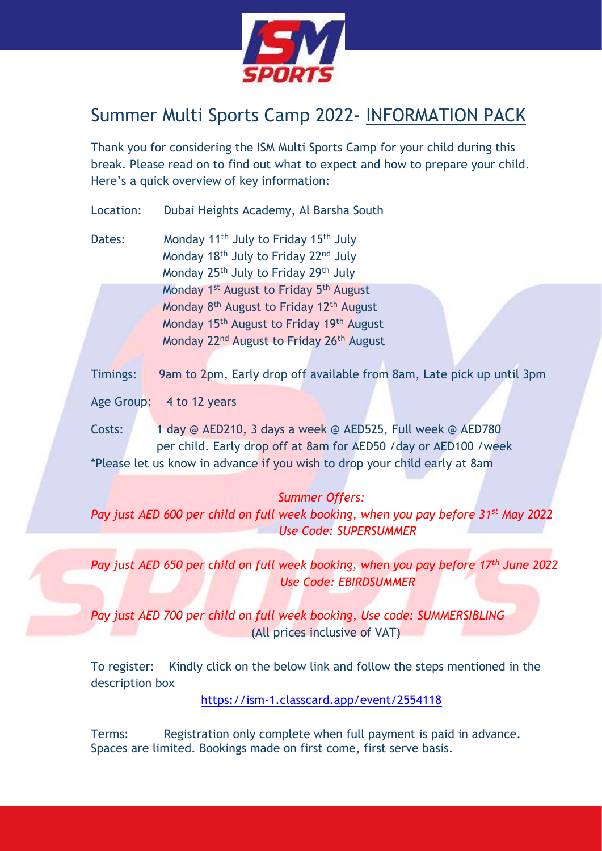

# Summer Multi Sports Camp 2022- INFORMATION PACK

Thank you for considering the ISM Multi Sports Camp for your child during this break. Please read on to find out what to expect and how to prepare your child. Here's a quick overview of key information:

Location: Dubai Heights Academy, Al Barsha South

Dates: Monday 11<sup>th</sup> July to Friday 15<sup>th</sup> July Monday 18<sup>th</sup> July to Friday 22<sup>nd</sup> July Monday 25th July to Friday 29th July Monday 1<sup>st</sup> August to Friday 5<sup>th</sup> August Monday 8<sup>th</sup> August to Friday 12<sup>th</sup> August Monday 15<sup>th</sup> August to Friday 19<sup>th</sup> August Monday 22<sup>nd</sup> August to Friday 26<sup>th</sup> August

Timings: 9am to 2pm, Early drop off available from 8am, Late pick up until 3pm

Age Group: 4 to 12 years

Costs: 1 day @ AED210, 3 days a week @ AED525, Full week @ AED780 per child. Early drop off at 8am for AED50 /day or AED100 /week \*Please let us know in advance if you wish to drop your child early at 8am

## *Summer Offers:*

*Pay just AED 600 per child on full week booking, when you pay before 31st May 2022 Use Code: SUPERSUMMER*

*Pay just AED 650 per child on full week booking, when you pay before 17th June 2022 Use Code: EBIRDSUMMER*

*Pay just AED 700 per child on full week booking, Use code: SUMMERSIBLING* (All prices inclusive of VAT)

To register: Kindly click on the below link and follow the steps mentioned in the description box

<https://ism-1.classcard.app/event/2554118>

Terms: Registration only complete when full payment is paid in advance. Spaces are limited. Bookings made on first come, first serve basis.